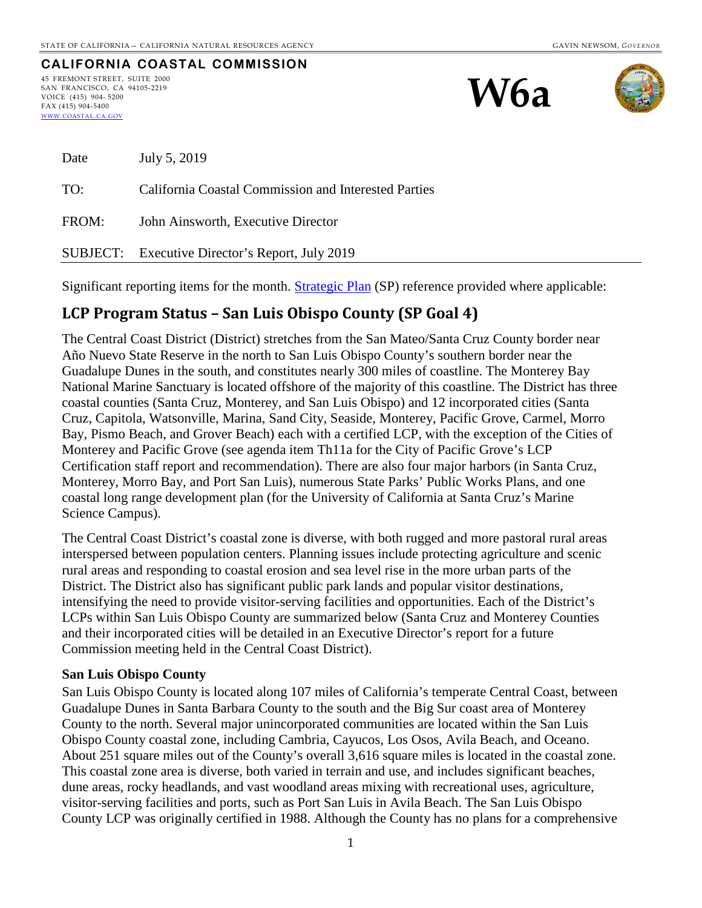#### **CALIFORNIA COASTAL COMMISSION** 45 FREMONT STREET, SUITE 2000 SAN FRANCISCO, CA 94105-2219 VOICE (415) 904- 5200 FAX (415) 904-5400 [WWW.COASTAL.CA.GOV](http://www.coastal.ca.gov/)





| Date  | July 5, 2019                                         |
|-------|------------------------------------------------------|
| TO:   | California Coastal Commission and Interested Parties |
| FROM: | John Ainsworth, Executive Director                   |
|       | SUBJECT: Executive Director's Report, July 2019      |

Significant reporting items for the month. [Strategic Plan](http://www.coastal.ca.gov/strategicplan/CCC_Final_StrategicPlan_2013-2018.pdf) (SP) reference provided where applicable:

# **LCP Program Status – San Luis Obispo County (SP Goal 4)**

The Central Coast District (District) stretches from the San Mateo/Santa Cruz County border near Año Nuevo State Reserve in the north to San Luis Obispo County's southern border near the Guadalupe Dunes in the south, and constitutes nearly 300 miles of coastline. The Monterey Bay National Marine Sanctuary is located offshore of the majority of this coastline. The District has three coastal counties (Santa Cruz, Monterey, and San Luis Obispo) and 12 incorporated cities (Santa Cruz, Capitola, Watsonville, Marina, Sand City, Seaside, Monterey, Pacific Grove, Carmel, Morro Bay, Pismo Beach, and Grover Beach) each with a certified LCP, with the exception of the Cities of Monterey and Pacific Grove (see agenda item Th11a for the City of Pacific Grove's LCP Certification staff report and recommendation). There are also four major harbors (in Santa Cruz, Monterey, Morro Bay, and Port San Luis), numerous State Parks' Public Works Plans, and one coastal long range development plan (for the University of California at Santa Cruz's Marine Science Campus).

The Central Coast District's coastal zone is diverse, with both rugged and more pastoral rural areas interspersed between population centers. Planning issues include protecting agriculture and scenic rural areas and responding to coastal erosion and sea level rise in the more urban parts of the District. The District also has significant public park lands and popular visitor destinations, intensifying the need to provide visitor-serving facilities and opportunities. Each of the District's LCPs within San Luis Obispo County are summarized below (Santa Cruz and Monterey Counties and their incorporated cities will be detailed in an Executive Director's report for a future Commission meeting held in the Central Coast District).

#### **San Luis Obispo County**

San Luis Obispo County is located along 107 miles of California's temperate Central Coast, between Guadalupe Dunes in Santa Barbara County to the south and the Big Sur coast area of Monterey County to the north. Several major unincorporated communities are located within the San Luis Obispo County coastal zone, including Cambria, Cayucos, Los Osos, Avila Beach, and Oceano. About 251 square miles out of the County's overall 3,616 square miles is located in the coastal zone. This coastal zone area is diverse, both varied in terrain and use, and includes significant beaches, dune areas, rocky headlands, and vast woodland areas mixing with recreational uses, agriculture, visitor-serving facilities and ports, such as Port San Luis in Avila Beach. The San Luis Obispo County LCP was originally certified in 1988. Although the County has no plans for a comprehensive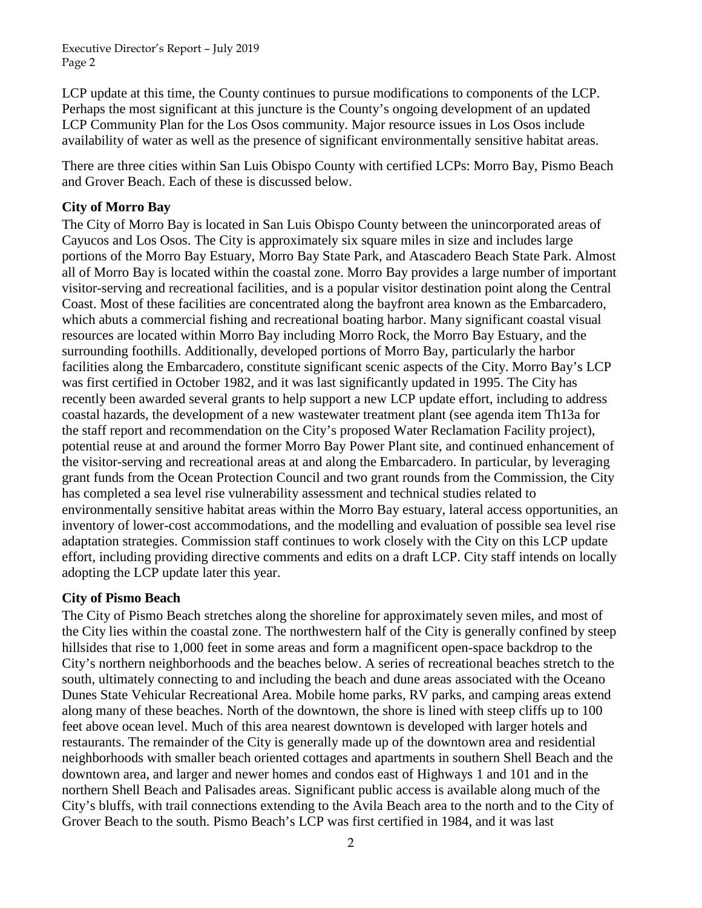Executive Director's Report – July 2019 Page 2

LCP update at this time, the County continues to pursue modifications to components of the LCP. Perhaps the most significant at this juncture is the County's ongoing development of an updated LCP Community Plan for the Los Osos community. Major resource issues in Los Osos include availability of water as well as the presence of significant environmentally sensitive habitat areas.

There are three cities within San Luis Obispo County with certified LCPs: Morro Bay, Pismo Beach and Grover Beach. Each of these is discussed below.

#### **City of Morro Bay**

The City of Morro Bay is located in San Luis Obispo County between the unincorporated areas of Cayucos and Los Osos. The City is approximately six square miles in size and includes large portions of the Morro Bay Estuary, Morro Bay State Park, and Atascadero Beach State Park. Almost all of Morro Bay is located within the coastal zone. Morro Bay provides a large number of important visitor-serving and recreational facilities, and is a popular visitor destination point along the Central Coast. Most of these facilities are concentrated along the bayfront area known as the Embarcadero, which abuts a commercial fishing and recreational boating harbor. Many significant coastal visual resources are located within Morro Bay including Morro Rock, the Morro Bay Estuary, and the surrounding foothills. Additionally, developed portions of Morro Bay, particularly the harbor facilities along the Embarcadero, constitute significant scenic aspects of the City. Morro Bay's LCP was first certified in October 1982, and it was last significantly updated in 1995. The City has recently been awarded several grants to help support a new LCP update effort, including to address coastal hazards, the development of a new wastewater treatment plant (see agenda item Th13a for the staff report and recommendation on the City's proposed Water Reclamation Facility project), potential reuse at and around the former Morro Bay Power Plant site, and continued enhancement of the visitor-serving and recreational areas at and along the Embarcadero. In particular, by leveraging grant funds from the Ocean Protection Council and two grant rounds from the Commission, the City has completed a sea level rise vulnerability assessment and technical studies related to environmentally sensitive habitat areas within the Morro Bay estuary, lateral access opportunities, an inventory of lower-cost accommodations, and the modelling and evaluation of possible sea level rise adaptation strategies. Commission staff continues to work closely with the City on this LCP update effort, including providing directive comments and edits on a draft LCP. City staff intends on locally adopting the LCP update later this year.

#### **City of Pismo Beach**

The City of Pismo Beach stretches along the shoreline for approximately seven miles, and most of the City lies within the coastal zone. The northwestern half of the City is generally confined by steep hillsides that rise to 1,000 feet in some areas and form a magnificent open-space backdrop to the City's northern neighborhoods and the beaches below. A series of recreational beaches stretch to the south, ultimately connecting to and including the beach and dune areas associated with the Oceano Dunes State Vehicular Recreational Area. Mobile home parks, RV parks, and camping areas extend along many of these beaches. North of the downtown, the shore is lined with steep cliffs up to 100 feet above ocean level. Much of this area nearest downtown is developed with larger hotels and restaurants. The remainder of the City is generally made up of the downtown area and residential neighborhoods with smaller beach oriented cottages and apartments in southern Shell Beach and the downtown area, and larger and newer homes and condos east of Highways 1 and 101 and in the northern Shell Beach and Palisades areas. Significant public access is available along much of the City's bluffs, with trail connections extending to the Avila Beach area to the north and to the City of Grover Beach to the south. Pismo Beach's LCP was first certified in 1984, and it was last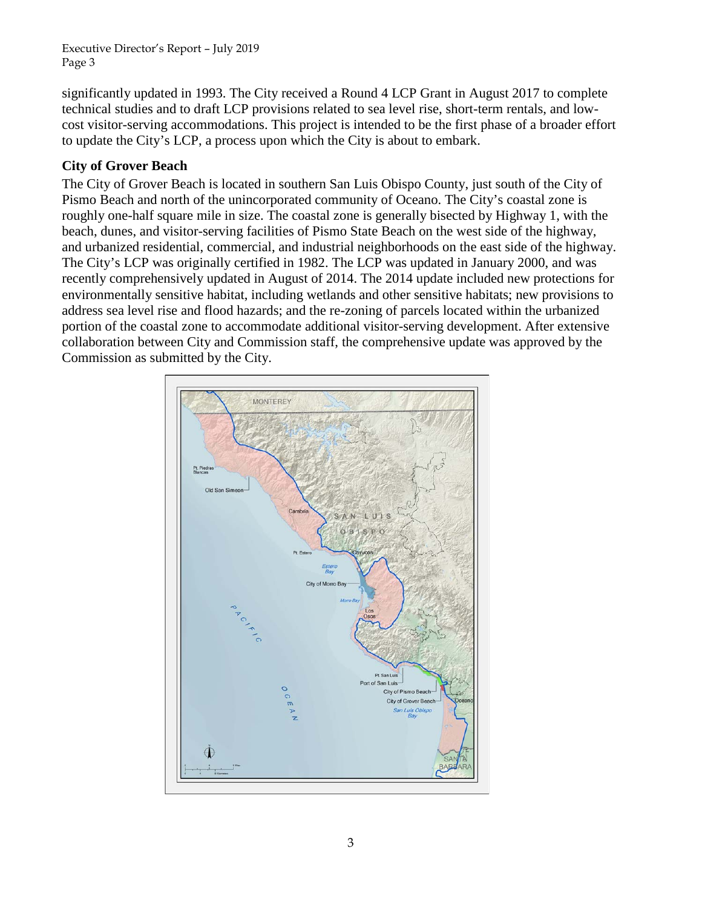Executive Director's Report – July 2019 Page 3

significantly updated in 1993. The City received a Round 4 LCP Grant in August 2017 to complete technical studies and to draft LCP provisions related to sea level rise, short-term rentals, and lowcost visitor-serving accommodations. This project is intended to be the first phase of a broader effort to update the City's LCP, a process upon which the City is about to embark.

#### **City of Grover Beach**

The City of Grover Beach is located in southern San Luis Obispo County, just south of the City of Pismo Beach and north of the unincorporated community of Oceano. The City's coastal zone is roughly one-half square mile in size. The coastal zone is generally bisected by Highway 1, with the beach, dunes, and visitor-serving facilities of Pismo State Beach on the west side of the highway, and urbanized residential, commercial, and industrial neighborhoods on the east side of the highway. The City's LCP was originally certified in 1982. The LCP was updated in January 2000, and was recently comprehensively updated in August of 2014. The 2014 update included new protections for environmentally sensitive habitat, including wetlands and other sensitive habitats; new provisions to address sea level rise and flood hazards; and the re-zoning of parcels located within the urbanized portion of the coastal zone to accommodate additional visitor-serving development. After extensive collaboration between City and Commission staff, the comprehensive update was approved by the Commission as submitted by the City.

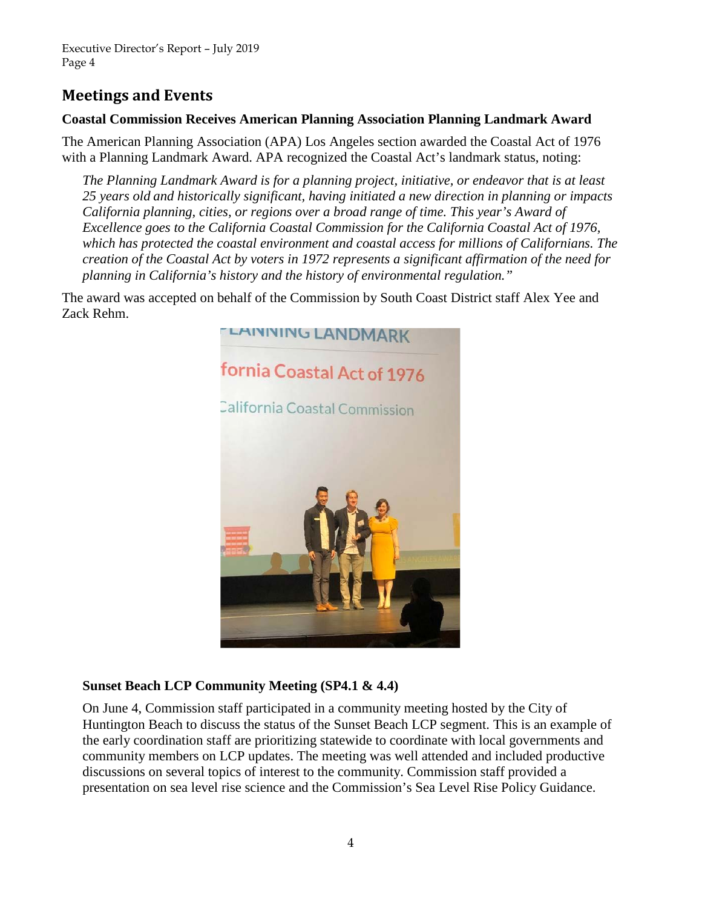# **Meetings and Events**

### **Coastal Commission Receives American Planning Association Planning Landmark Award**

The American Planning Association (APA) Los Angeles section awarded the Coastal Act of 1976 with a Planning Landmark Award. APA recognized the Coastal Act's landmark status, noting:

*The Planning Landmark Award is for a planning project, initiative, or endeavor that is at least 25 years old and historically significant, having initiated a new direction in planning or impacts California planning, cities, or regions over a broad range of time. This year's Award of Excellence goes to the California Coastal Commission for the California Coastal Act of 1976, which has protected the coastal environment and coastal access for millions of Californians. The creation of the Coastal Act by voters in 1972 represents a significant affirmation of the need for planning in California's history and the history of environmental regulation."* 

The award was accepted on behalf of the Commission by South Coast District staff Alex Yee and Zack Rehm.



## **Sunset Beach LCP Community Meeting (SP4.1 & 4.4)**

On June 4, Commission staff participated in a community meeting hosted by the City of Huntington Beach to discuss the status of the Sunset Beach LCP segment. This is an example of the early coordination staff are prioritizing statewide to coordinate with local governments and community members on LCP updates. The meeting was well attended and included productive discussions on several topics of interest to the community. Commission staff provided a presentation on sea level rise science and the Commission's Sea Level Rise Policy Guidance.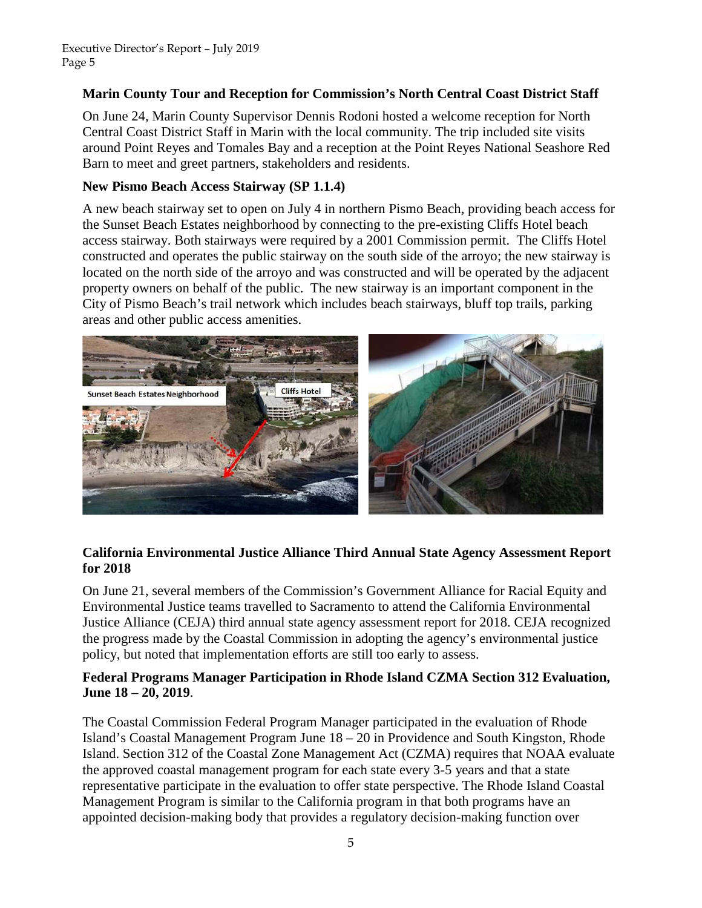### **Marin County Tour and Reception for Commission's North Central Coast District Staff**

On June 24, Marin County Supervisor Dennis Rodoni hosted a welcome reception for North Central Coast District Staff in Marin with the local community. The trip included site visits around Point Reyes and Tomales Bay and a reception at the Point Reyes National Seashore Red Barn to meet and greet partners, stakeholders and residents.

### **New Pismo Beach Access Stairway (SP 1.1.4)**

A new beach stairway set to open on July 4 in northern Pismo Beach, providing beach access for the Sunset Beach Estates neighborhood by connecting to the pre-existing Cliffs Hotel beach access stairway. Both stairways were required by a 2001 Commission permit. The Cliffs Hotel constructed and operates the public stairway on the south side of the arroyo; the new stairway is located on the north side of the arroyo and was constructed and will be operated by the adjacent property owners on behalf of the public. The new stairway is an important component in the City of Pismo Beach's trail network which includes beach stairways, bluff top trails, parking areas and other public access amenities.



### **California Environmental Justice Alliance Third Annual State Agency Assessment Report for 2018**

On June 21, several members of the Commission's Government Alliance for Racial Equity and Environmental Justice teams travelled to Sacramento to attend the California Environmental Justice Alliance (CEJA) third annual state agency assessment report for 2018. CEJA recognized the progress made by the Coastal Commission in adopting the agency's environmental justice policy, but noted that implementation efforts are still too early to assess.

### **Federal Programs Manager Participation in Rhode Island CZMA Section 312 Evaluation, June 18 – 20, 2019**.

The Coastal Commission Federal Program Manager participated in the evaluation of Rhode Island's Coastal Management Program June 18 – 20 in Providence and South Kingston, Rhode Island. Section 312 of the Coastal Zone Management Act (CZMA) requires that NOAA evaluate the approved coastal management program for each state every 3-5 years and that a state representative participate in the evaluation to offer state perspective. The Rhode Island Coastal Management Program is similar to the California program in that both programs have an appointed decision-making body that provides a regulatory decision-making function over